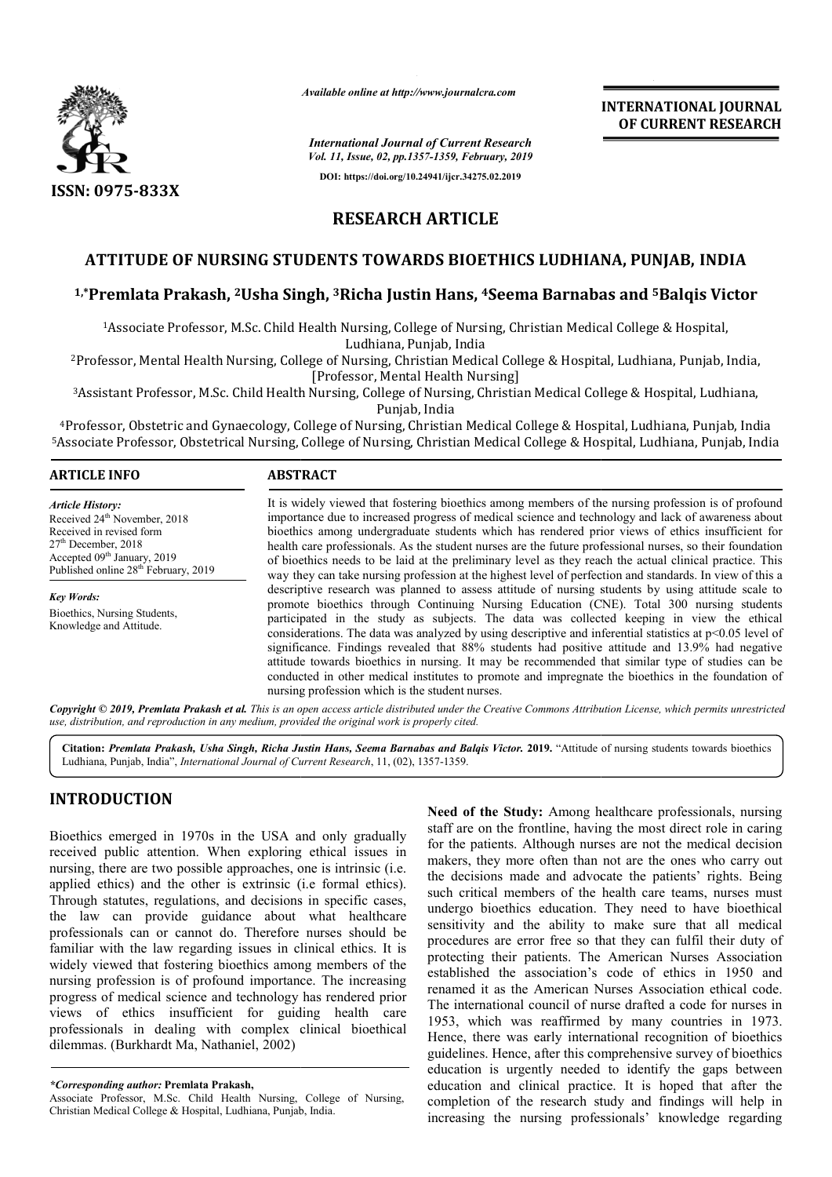

*Available online at http://www.journalcra.com*

**INTERNATIONAL JOURNAL OF CURRENT RESEARCH**

*International Journal of Current Research Vol. 11, Issue, 02, pp.1357-1359, February, 2019* **DOI: https://doi.org/10.24941/ijcr.34275.02.2019**

# **RESEARCH ARTICLE**

# **ATTITUDE OF NURSING STUDENTS TOWARDS BIOETHICS LUDHIANA, PUNJAB PUNJAB, INDIA**

# **1,\*Premlata Prakash, 2Usha Singh, Usha 3Richa Justin Hans, 4Seema Barnabas and Seema 5Balqis Victor**

<sup>1</sup>Associate Professor, M.Sc. Child Health Nursing, College of Nursing, Christian Medical College & Hospital,<br>Ludhiana, Punjab, India

<sup>2</sup>Professor, Mental Health Nursing, College of Nursing, Christian Medical College & Hospital, Ludhiana, Punjab, India, [Professor, Mental Health Nursing]

<sup>3</sup>Assistant Professor, M.Sc. Child Health Nursing, College of Nursing, Christian Medical College & Hospital, Ludhiana,<br>Punjab, India

4Professor, Obstetric and Gynaecology, College of Nursing, Christian Medical College & Hospital, Ludhiana, Punjab, India <sup>3</sup>Assistant Professor, M.Sc. Child Health Nursing, College of Nursing, Christian Medical College & Hospital, Ludhiana,<br>Punjab, India<br><sup>4</sup>Professor, Obstetric and Gynaecology, College of Nursing, Christian Medical College &

#### **ARTICLE INFO ABSTRACT** It is widely viewed that fostering bioethics among members of the nursing profession is of profound importance due to increased progress of medical science and technology and lack of awareness about bioethics among undergraduate students which has rendered prior views of ethics insufficient for health care professionals. As the student nurses are the future professional nurses, so their foundation of bioethics needs to be laid at the preliminary level as they reach the actual clinical practice. This way they can take nursing profession at the highest level of perfection and standards. In view of this a descriptive research was planned to assess attitude of nursing students by using attitude scale to promote bioethics through Continuing Nursing Education (CNE). Total 300 nursing students participated in the study as subjects. The data was collected keeping in view the ethical considerations. The data was analyzed by using descriptive and inferential statistics at p<0.05 level of *Article History:* Received 24<sup>th</sup> November, 2018 Received in revised form 27<sup>th</sup> December, 2018 Accepted 09<sup>th</sup> January, 2019 Published online 28<sup>th</sup> February, 2019 *Key Words:* Bioethics, Nursing Students, Knowledge and Attitude. It is widely viewed that fostering bioethics among members of the nursing profession is of profound importance due to increased progress of medical science and technology and lack of awareness about bioethics among undergr

significance. Findings revealed that 88% students had positive attitude and 13.9% had negative attitude towards bioethics in nursing. It may be recommended that similar type of studies can be participated in the study as subjects. The data was collected keeping in view the ethical considerations. The data was analyzed by using descriptive and inferential statistics at p<0.05 level of significance. Findings reve nursing profession which is the student nurses.

Copyright © 2019, Premlata Prakash et al. This is an open access article distributed under the Creative Commons Attribution License, which permits unrestrictea *use, distribution, and reproduction in any medium, provided the original work is properly cited.*

Citation: Premlata Prakash, Usha Singh, Richa Justin Hans, Seema Barnabas and Balqis Victor. 2019. "Attitude of nursing students towards bioethics Ludhiana, Punjab, India", *International Journal of Current Research* , 11, (02), 1357-1359.

# **INTRODUCTION**

Bioethics emerged in 1970s in the USA and only gradually received public attention. When exploring ethical issues in nursing, there are two possible approaches, one is intrinsic (i.e. applied ethics) and the other is extrinsic (i.e formal ethics). Through statutes, regulations, and decisions in specific cases, the law can provide guidance about what healthcare professionals can or cannot do. Therefore nurses should be familiar with the law regarding issues in clinical ethics. It is widely viewed that fostering bioethics among members of the nursing profession is of profound importance. The increasing progress of medical science and technology has rendered prior views of ethics insufficient for guiding health care professionals in dealing with complex clinical bioethical dilemmas. (Burkhardt Ma, Nathaniel, 2002) herefore nurses should be<br>ues in clinical ethics. It is<br>ics among members of the<br>mportance. The increasing<br>hnology has rendered prior

*\*Corresponding author:* **Premlata Prakash,** 

Associate Professor, M.Sc. Child Health Nursing, College of Nursing, Christian Medical College & Hospital, Ludhiana, Punjab, India.

**Need of the Study:** Among healthcare professionals, nursing staff are on the frontline, having the most direct role in caring for the patients. Although nurses are not the medical decision makers, they more often than not are the ones who carry out the decisions made and advocate the patients' rights. Being such critical members of the health care teams, nurses must undergo bioethics education. They need to have bioethical sensitivity and the ability to make sure that all medical procedures are error free so that they can fulfil their duty of protecting their patients. The American Nurses Association established the association's code of ethics in 1950 and renamed it as the American Nurses Association ethical code. The international council of nurse drafted a code for nurses in 1953, which was reaffirmed by many countries in 1973. Hence, there was early international recognition of bioethics guidelines. Hence, after this comprehensive survey of bioethics education is urgently needed to identify the gaps between education and clinical practice. It is hoped that after the completion of the research study and findings will help in increasing the nursing professionals' knowledge regarding staff are on the frontline, having the most direct role in caring<br>for the patients. Although nurses are not the medical decision<br>makers, they more often than not are the ones who carry out<br>the decisions made and advocate t INTERNATIONAL JOURNAL<br>
COTENTIVERENATIONAL TRESEARCH<br>
CAST *FORM Research*<br>
COTENTICS LUDHIANA, PUNJAB, INDIA<br>
HABIN, <sup>1950</sup><br>
ARTICLE<br>
DOS BIOETHICS LUDHIANA, PUNJAB, INDIA<br>
HABIN, <sup>1953</sup><br>
HABIN, India<br>
Hence, internation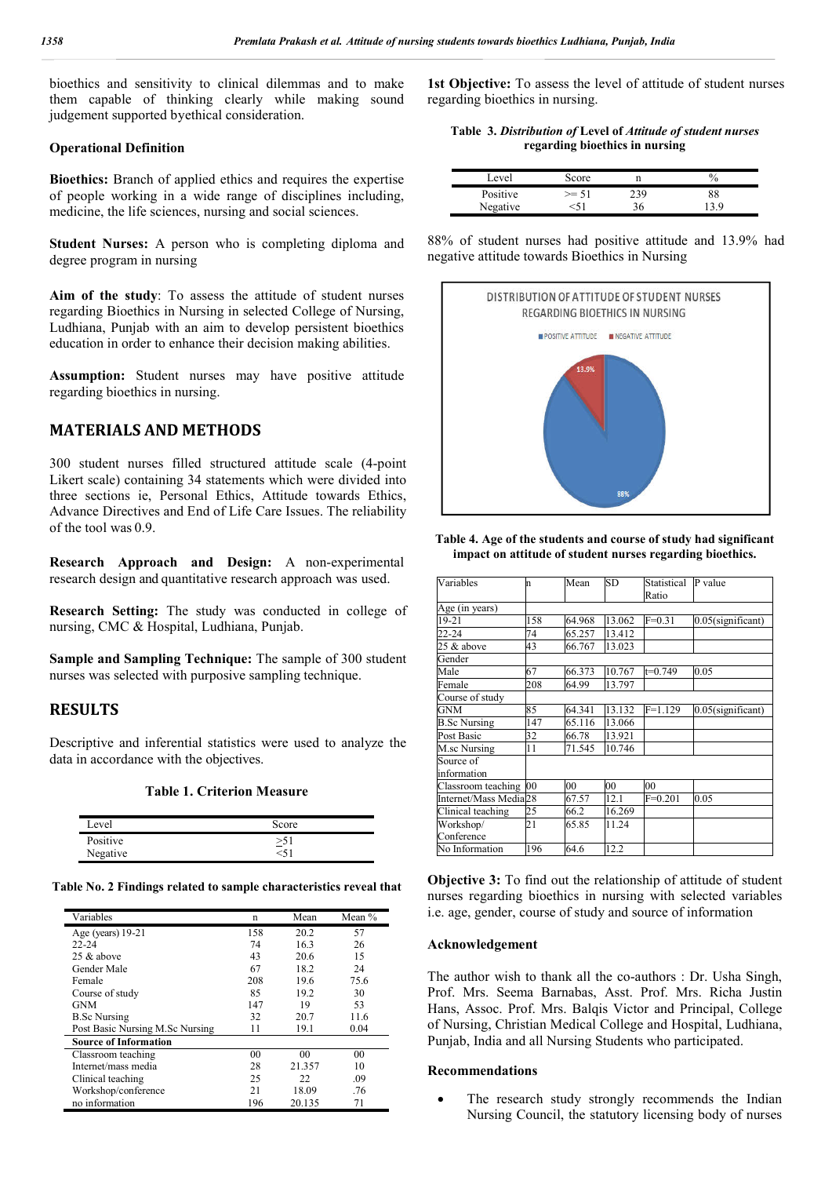bioethics and sensitivity to clinical dilemmas and to make them capable of thinking clearly while making sound judgement supported byethical consideration.

## **Operational Definition**

**Bioethics:** Branch of applied ethics and requires the expertise of people working in a wide range of disciplines including, medicine, the life sciences, nursing and social sciences.

**Student Nurses:** A person who is completing diploma and degree program in nursing

**Aim of the study**: To assess the attitude of student nurses regarding Bioethics in Nursing in selected College of Nursing, Ludhiana, Punjab with an aim to develop persistent bioethics education in order to enhance their decision making abilities.

**Assumption:** Student nurses may have positive attitude regarding bioethics in nursing.

# **MATERIALS AND METHODS**

300 student nurses filled structured attitude scale (4-point Likert scale) containing 34 statements which were divided into three sections ie, Personal Ethics, Attitude towards Ethics, Advance Directives and End of Life Care Issues. The reliability of the tool was 0.9.

**Research Approach and Design:** A non-experimental research design and quantitative research approach was used.

**Research Setting:** The study was conducted in college of nursing, CMC & Hospital, Ludhiana, Punjab.

**Sample and Sampling Technique:** The sample of 300 student nurses was selected with purposive sampling technique.

## **RESULTS**

Descriptive and inferential statistics were used to analyze the data in accordance with the objectives.

**Table 1. Criterion Measure**

| Level    | Score     |
|----------|-----------|
| Positive | $\geq 51$ |
| Negative | $<$ 51    |

**Table No. 2 Findings related to sample characteristics reveal that**

| Variables                       | n              | Mean           | Mean $%$ |
|---------------------------------|----------------|----------------|----------|
| Age (years) 19-21               | 158            | 20.2           | 57       |
| $22 - 24$                       | 74             | 16.3           | 26       |
| $25 \&$ above                   | 43             | 20.6           | 15       |
| Gender Male                     | 67             | 18.2           | 24       |
| Female                          | 208            | 19.6           | 75.6     |
| Course of study                 | 85             | 19.2           | 30       |
| <b>GNM</b>                      | 147            | 19             | 53       |
| <b>B.Sc Nursing</b>             | 32             | 20.7           | 11.6     |
| Post Basic Nursing M.Sc Nursing | 11             | 19.1           | 0.04     |
| <b>Source of Information</b>    |                |                |          |
| Classroom teaching              | 0 <sub>0</sub> | 0 <sup>0</sup> | 00       |
| Internet/mass media             | 28             | 21.357         | 10       |
| Clinical teaching               | 25             | 22             | .09      |
| Workshop/conference             | 21             | 18.09          | .76      |
| no information                  | 196            | 20.135         | 71       |

**1st Objective:** To assess the level of attitude of student nurses regarding bioethics in nursing.

**Table 3.** *Distribution of* **Level of** *Attitude of student nurses*  **regarding bioethics in nursing**

| Level    | Score   |     |    |
|----------|---------|-----|----|
| Positive | $>= 51$ | 239 | 38 |
| Negative |         |     |    |

88% of student nurses had positive attitude and 13.9% had negative attitude towards Bioethics in Nursing



**Table 4. Age of the students and course of study had significant impact on attitude of student nurses regarding bioethics.**

| Variables                         | n   | Mean   | SD     | Statistical<br>Ratio | P value              |
|-----------------------------------|-----|--------|--------|----------------------|----------------------|
| Age (in years)                    |     |        |        |                      |                      |
| 19-21                             | 158 | 64.968 | 13.062 | $F = 0.31$           | $0.05$ (significant) |
| 22-24                             | 74  | 65.257 | 13.412 |                      |                      |
| 25 & above                        | 43  | 66.767 | 13.023 |                      |                      |
| Gender                            |     |        |        |                      |                      |
| Male                              | 67  | 66.373 | 10.767 | $t=0.749$            | 0.05                 |
| Female                            | 208 | 64.99  | 13.797 |                      |                      |
| Course of study                   |     |        |        |                      |                      |
| GNM                               | 85  | 64.341 | 13.132 | $F=1.129$            | $0.05$ (significant) |
| <b>B.Sc Nursing</b>               | 147 | 65.116 | 13.066 |                      |                      |
| Post Basic                        | 32  | 66.78  | 13.921 |                      |                      |
| M.sc Nursing                      | 11  | 71.545 | 10.746 |                      |                      |
| Source of<br>information          |     |        |        |                      |                      |
| Classroom teaching 00             |     | 00     | 00     | 00                   |                      |
| Internet/Mass Media <sub>28</sub> |     | 67.57  | 12.1   | $F = 0.201$          | 0.05                 |
| Clinical teaching                 | 25  | 66.2   | 16.269 |                      |                      |
| Workshop/<br>Conference           | 21  | 65.85  | 11.24  |                      |                      |
| No Information                    | 196 | 64.6   | 12.2   |                      |                      |

**Objective 3:** To find out the relationship of attitude of student nurses regarding bioethics in nursing with selected variables i.e. age, gender, course of study and source of information

#### **Acknowledgement**

The author wish to thank all the co-authors : Dr. Usha Singh, Prof. Mrs. Seema Barnabas, Asst. Prof. Mrs. Richa Justin Hans, Assoc. Prof. Mrs. Balqis Victor and Principal, College of Nursing, Christian Medical College and Hospital, Ludhiana, Punjab, India and all Nursing Students who participated.

#### **Recommendations**

• The research study strongly recommends the Indian Nursing Council, the statutory licensing body of nurses